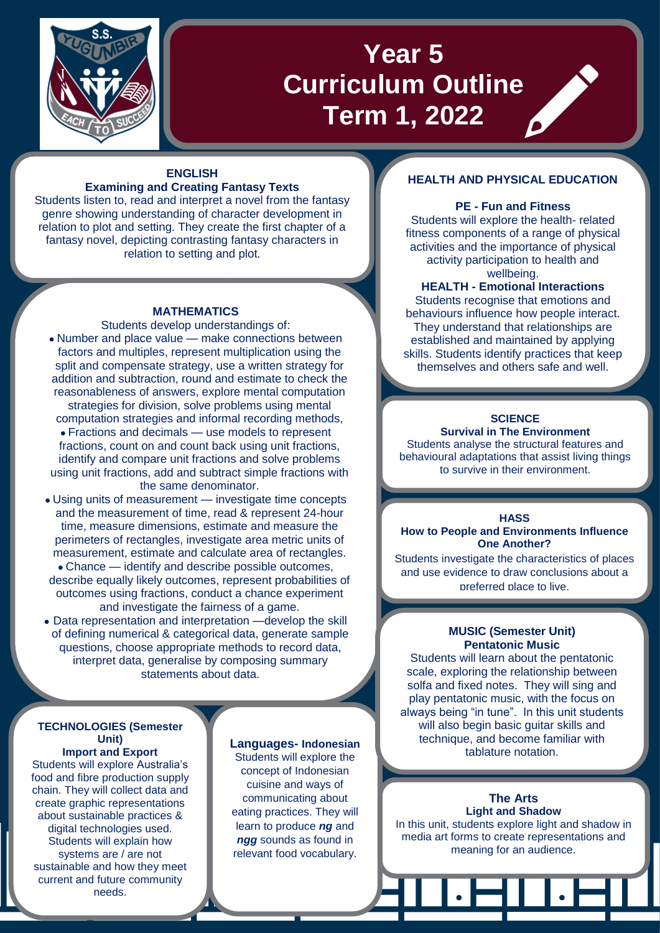

# **Year 5 Curriculum Outline Term 1, 2022**

## **ENGLISH Examining and Creating Fantasy Texts**

Students listen to, read and interpret a novel from the fantasy genre showing understanding of character development in relation to plot and setting. They create the first chapter of a fantasy novel, depicting contrasting fantasy characters in relation to setting and plot.

## **MATHEMATICS**

## Students develop understandings of:

- Number and place value make connections between factors and multiples, represent multiplication using the split and compensate strategy, use a written strategy for addition and subtraction, round and estimate to check the reasonableness of answers, explore mental computation strategies for division, solve problems using mental computation strategies and informal recording methods,
- Fractions and decimals use models to represent fractions, count on and count back using unit fractions, identify and compare unit fractions and solve problems using unit fractions, add and subtract simple fractions with the same denominator.
- Using units of measurement investigate time concepts and the measurement of time, read & represent 24-hour time, measure dimensions, estimate and measure the perimeters of rectangles, investigate area metric units of measurement, estimate and calculate area of rectangles. • Chance — identify and describe possible outcomes, describe equally likely outcomes, represent probabilities of outcomes using fractions, conduct a chance experiment
- and investigate the fairness of a game. • Data representation and interpretation —develop the skill of defining numerical & categorical data, generate sample
- questions, choose appropriate methods to record data, interpret data, generalise by composing summary statements about data.

## **TECHNOLOGIES (Semester Unit) Import and Export**

Students will explore Australia's food and fibre production supply chain. They will collect data and create graphic representations about sustainable practices & digital technologies used. Students will explain how systems are / are not sustainable and how they meet current and future community needs.

# **Languages- Indonesian**

Students will explore the concept of Indonesian cuisine and ways of communicating about eating practices. They will learn to produce *ng* and *ngg* sounds as found in relevant food vocabulary.

# **HEALTH AND PHYSICAL EDUCATION**

# **PE - Fun and Fitness**

Students will explore the health- related fitness components of a range of physical activities and the importance of physical activity participation to health and wellbeing.

## **HEALTH - Emotional Interactions**

Students recognise that emotions and behaviours influence how people interact. They understand that relationships are established and maintained by applying skills. Students identify practices that keep themselves and others safe and well.

# **SCIENCE**

**Survival in The Environment** Students analyse the structural features and behavioural adaptations that assist living things to survive in their environment.

#### **HASS**

**How to People and Environments Influence One Another?**

Students investigate the characteristics of places and use evidence to draw conclusions about a preferred place to live.

## **MUSIC (Semester Unit) Pentatonic Music**

Students will learn about the pentatonic scale, exploring the relationship between solfa and fixed notes. They will sing and play pentatonic music, with the focus on always being "in tune". In this unit students will also begin basic guitar skills and technique, and become familiar with tablature notation.

> **The Arts Light and Shadow**

In this unit, students explore light and shadow in media art forms to create representations and meaning for an audience.